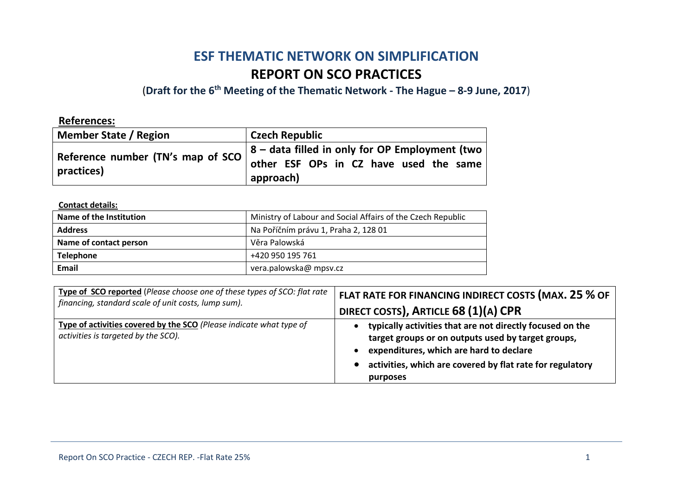# **ESF THEMATIC NETWORK ON SIMPLIFICATION REPORT ON SCO PRACTICES**

(**Draft for the 6th Meeting of the Thematic Network - The Hague – 8-9 June, 2017**)

| <b>References:</b>                                      |                                                                                                               |
|---------------------------------------------------------|---------------------------------------------------------------------------------------------------------------|
| <b>Member State / Region</b>                            | <b>Czech Republic</b>                                                                                         |
| Reference number (TN's map of SCO $\vert$<br>practices) | $\vert$ 8 – data filled in only for OP Employment (two<br>other ESF OPs in CZ have used the same<br>approach) |

**Contact details:**

| Name of the Institution | Ministry of Labour and Social Affairs of the Czech Republic |
|-------------------------|-------------------------------------------------------------|
| <b>Address</b>          | Na Poříčním právu 1, Praha 2, 128 01                        |
| Name of contact person  | Věra Palowská                                               |
| <b>Telephone</b>        | +420 950 195 761                                            |
| <b>Email</b>            | vera.palowska@ mpsv.cz                                      |

| Type of SCO reported (Please choose one of these types of SCO: flat rate                                   | FLAT RATE FOR FINANCING INDIRECT COSTS (MAX. 25 % OF                                                                                                                                                                                |
|------------------------------------------------------------------------------------------------------------|-------------------------------------------------------------------------------------------------------------------------------------------------------------------------------------------------------------------------------------|
| financing, standard scale of unit costs, lump sum).                                                        | DIRECT COSTS), ARTICLE 68 (1)(A) CPR                                                                                                                                                                                                |
| Type of activities covered by the SCO (Please indicate what type of<br>activities is targeted by the SCO). | typically activities that are not directly focused on the<br>target groups or on outputs used by target groups,<br>expenditures, which are hard to declare<br>activities, which are covered by flat rate for regulatory<br>purposes |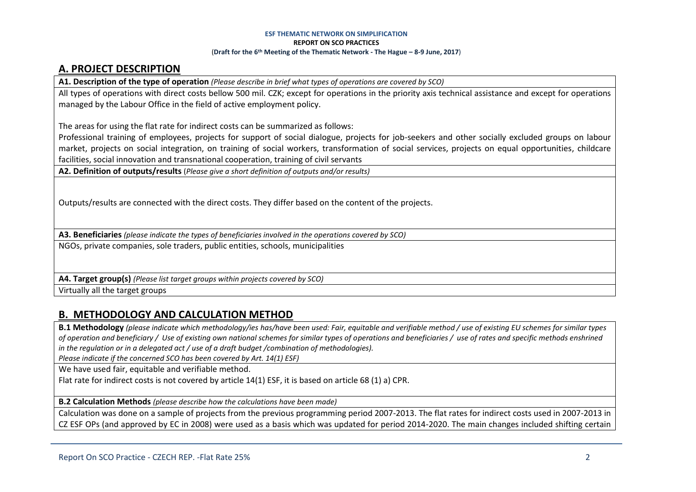### **A. PROJECT DESCRIPTION**

**A1. Description of the type of operation** *(Please describe in brief what types of operations are covered by SCO)*

All types of operations with direct costs bellow 500 mil. CZK; except for operations in the priority axis technical assistance and except for operations managed by the Labour Office in the field of active employment policy.

The areas for using the flat rate for indirect costs can be summarized as follows:

Professional training of employees, projects for support of social dialogue, projects for job-seekers and other socially excluded groups on labour market, projects on social integration, on training of social workers, transformation of social services, projects on equal opportunities, childcare facilities, social innovation and transnational cooperation, training of civil servants

**A2. Definition of outputs/results** (*Please give a short definition of outputs and/or results)*

Outputs/results are connected with the direct costs. They differ based on the content of the projects.

**A3. Beneficiaries** *(please indicate the types of beneficiaries involved in the operations covered by SCO)*

NGOs, private companies, sole traders, public entities, schools, municipalities

**A4. Target group(s)** *(Please list target groups within projects covered by SCO)*

Virtually all the target groups

### **B. METHODOLOGY AND CALCULATION METHOD**

**B.1 Methodology** *(please indicate which methodology/ies has/have been used: Fair, equitable and verifiable method / use of existing EU schemes for similar types of operation and beneficiary / Use of existing own national schemes for similar types of operations and beneficiaries / use of rates and specific methods enshrined in the regulation or in a delegated act / use of a draft budget /combination of methodologies).*

*Please indicate if the concerned SCO has been covered by Art. 14(1) ESF)*

We have used fair, equitable and verifiable method.

Flat rate for indirect costs is not covered by article 14(1) ESF, it is based on article 68 (1) a) CPR.

**B.2 Calculation Methods** *(please describe how the calculations have been made)*

Calculation was done on a sample of projects from the previous programming period 2007-2013. The flat rates for indirect costs used in 2007-2013 in CZ ESF OPs (and approved by EC in 2008) were used as a basis which was updated for period 2014-2020. The main changes included shifting certain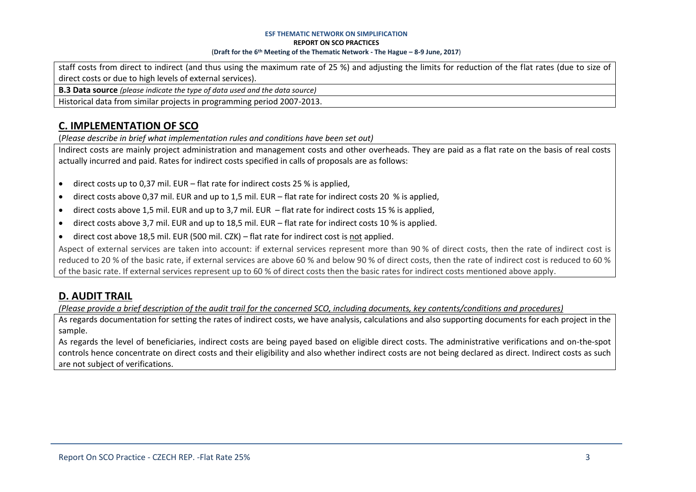staff costs from direct to indirect (and thus using the maximum rate of 25 %) and adjusting the limits for reduction of the flat rates (due to size of direct costs or due to high levels of external services).

**B.3 Data source** *(please indicate the type of data used and the data source)*

Historical data from similar projects in programming period 2007-2013.

# **C. IMPLEMENTATION OF SCO**

(*Please describe in brief what implementation rules and conditions have been set out)*

Indirect costs are mainly project administration and management costs and other overheads. They are paid as a flat rate on the basis of real costs actually incurred and paid. Rates for indirect costs specified in calls of proposals are as follows:

- direct costs up to 0,37 mil. EUR flat rate for indirect costs 25 % is applied,
- direct costs above 0,37 mil. EUR and up to 1,5 mil. EUR flat rate for indirect costs 20 % is applied,
- direct costs above 1,5 mil. EUR and up to 3,7 mil. EUR flat rate for indirect costs 15 % is applied,
- direct costs above 3,7 mil. EUR and up to 18,5 mil. EUR flat rate for indirect costs 10 % is applied.
- direct cost above 18,5 mil. EUR (500 mil. CZK) flat rate for indirect cost is not applied.

Aspect of external services are taken into account: if external services represent more than 90 % of direct costs, then the rate of indirect cost is reduced to 20 % of the basic rate, if external services are above 60 % and below 90 % of direct costs, then the rate of indirect cost is reduced to 60 % of the basic rate. If external services represent up to 60 % of direct costs then the basic rates for indirect costs mentioned above apply.

### **D. AUDIT TRAIL**

*(Please provide a brief description of the audit trail for the concerned SCO, including documents, key contents/conditions and procedures)*

As regards documentation for setting the rates of indirect costs, we have analysis, calculations and also supporting documents for each project in the sample.

As regards the level of beneficiaries, indirect costs are being payed based on eligible direct costs. The administrative verifications and on-the-spot controls hence concentrate on direct costs and their eligibility and also whether indirect costs are not being declared as direct. Indirect costs as such are not subject of verifications.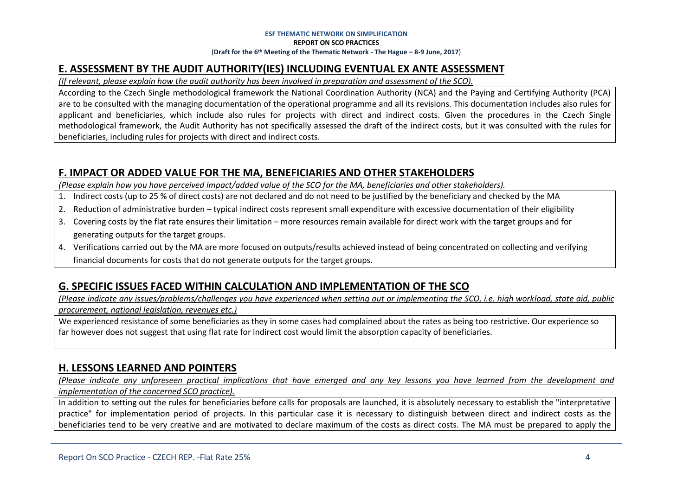### **E. ASSESSMENT BY THE AUDIT AUTHORITY(IES) INCLUDING EVENTUAL EX ANTE ASSESSMENT**

*(If relevant, please explain how the audit authority has been involved in preparation and assessment of the SCO).* 

According to the Czech Single methodological framework the National Coordination Authority (NCA) and the Paying and Certifying Authority (PCA) are to be consulted with the managing documentation of the operational programme and all its revisions. This documentation includes also rules for applicant and beneficiaries, which include also rules for projects with direct and indirect costs. Given the procedures in the Czech Single methodological framework, the Audit Authority has not specifically assessed the draft of the indirect costs, but it was consulted with the rules for beneficiaries, including rules for projects with direct and indirect costs.

### **F. IMPACT OR ADDED VALUE FOR THE MA, BENEFICIARIES AND OTHER STAKEHOLDERS**

*(Please explain how you have perceived impact/added value of the SCO for the MA, beneficiaries and other stakeholders).* 

- 1. Indirect costs (up to 25 % of direct costs) are not declared and do not need to be justified by the beneficiary and checked by the MA
- 2. Reduction of administrative burden typical indirect costs represent small expenditure with excessive documentation of their eligibility
- 3. Covering costs by the flat rate ensures their limitation more resources remain available for direct work with the target groups and for generating outputs for the target groups.
- 4. Verifications carried out by the MA are more focused on outputs/results achieved instead of being concentrated on collecting and verifying financial documents for costs that do not generate outputs for the target groups.

### **G. SPECIFIC ISSUES FACED WITHIN CALCULATION AND IMPLEMENTATION OF THE SCO**

*(Please indicate any issues/problems/challenges you have experienced when setting out or implementing the SCO, i.e. high workload, state aid, public procurement, national legislation, revenues etc.)*

We experienced resistance of some beneficiaries as they in some cases had complained about the rates as being too restrictive. Our experience so far however does not suggest that using flat rate for indirect cost would limit the absorption capacity of beneficiaries.

### **H. LESSONS LEARNED AND POINTERS**

*(Please indicate any unforeseen practical implications that have emerged and any key lessons you have learned from the development and implementation of the concerned SCO practice).*

In addition to setting out the rules for beneficiaries before calls for proposals are launched, it is absolutely necessary to establish the "interpretative practice" for implementation period of projects. In this particular case it is necessary to distinguish between direct and indirect costs as the beneficiaries tend to be very creative and are motivated to declare maximum of the costs as direct costs. The MA must be prepared to apply the